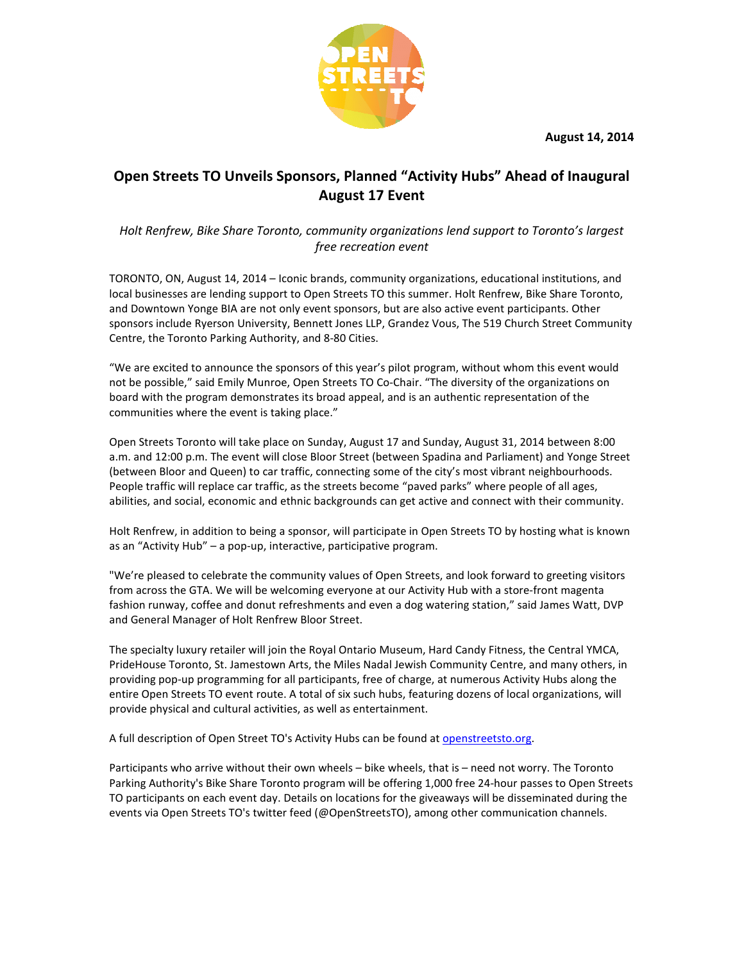**August 1 14, 2014** 



## Open Streets TO Unveils Sponsors, Planned "Activity Hubs" Ahead of Inaugural **August 17 Event**

## *Holt Renfrew, Bike Share Toronto, community organizations lend support to Toronto's largest lend free recreation event*

TORONTO, ON, August 14, 2014 - Iconic brands, community organizations, educational institutions, and local businesses are lending support to Open Streets TO this summer. Holt Renfrew, Bike Share Toronto, and Downtown Yonge BIA are not only event sponsors, but are also active event participants. sponsors include Ryerson University, Bennett Jones LLP, Grandez Vous, The 519 Church Street Community Centre, the Toronto Parking Authority, and 8-80 Cities. community organizations, educational institutions,<br>eets TO this summer. Holt Renfrew, Bike Share Toro<br>onsors, but are also active event participants. Other

"We are excited to announce the sponsors of this year's pilot program, without whom this event would not be possible," said Emily Munroe, Open Streets TO Co-Chair. "The diversity of the organizations on board with the program demonstrates its broad appeal, and is an authentic representation of the communities where the event is taking place." , The 519 Church Street Commu<br>, without whom this event woul<br>liversity of the organizations on<br>entic representation of the

Open Streets Toronto will take place on Sunday, August 17 and Sunday, August 31, 2014 between 8:00 a.m. and 12:00 p.m. The event will close Bloor Street (between Spadina and Parliament) and Yonge Street<br>(between Bloor and Queen) to car traffic, connecting some of the city's most vibrant neighbourhoods. (between Bloor and Queen) to car traffic, connecting some of the city's most vibrant neighbourhoods. People traffic will replace car traffic, as the streets become "paved parks" where people of all ages, abilities, and social, economic and ethnic backgrounds can get active and connect with their community. lay, August 31, 2014 between 8:00<br>ina and Parliament) and Yonge Street<br>y's most vibrant neighbourhoods.<br>arks" where people of all ages,<br>and connect with their community.<br>Streets TO by hosting what is known

Holt Renfrew, in addition to being a sponsor, will participate in Open Streets TO by hosting wh as an "Activity Hub" - a pop-up, interactive, participative program.

"We're pleased to celebrate the community values of Open Streets, and look forward to greeting visitors<br>from across the GTA. We will be welcoming everyone at our Activity Hub with a store-front magenta from across the GTA. We will be welcoming everyone at our Activity Hub with a store front magenta fashion runway, coffee and donut refreshments and even a dog watering station," said James Watt, DVP<br>and General Manager of Holt Renfrew Bloor Street.<br>The specialty luxury retailer will join the Royal Ontario Museum, Hard and General Manager of Holt Renfrew Bloor Street.

The specialty luxury retailer will join the Royal Ontario Museum, Hard Candy Fitness, the Central YMCA, PrideHouse Toronto, St. Jamestown Arts, the Miles Nadal Jewish Community Centre, and many others, in providing pop-up programming for all participants, free of charge, at numerous Activity Hubs along the providing pop-up programming for all participants, free of charge, at numerous Activity Hubs along the<br>entire Open Streets TO event route. A total of six such hubs, featuring dozens of local organizations, will provide physical and cultural activities, as well as entertainment.

provide physical and cultural activities, as well as entertainment.<br>A full description of Open Street TO's Activity Hubs can be found at <u>openstreetsto.org</u>.

Participants who arrive without their own wheels - bike wheels, that is - need not worry. The Toronto Parking Authority's Bike Share Toronto program will be offering 1,000 free 24-hour passes to Open Streets<br>TO participants on each event day. Details on locations for the giveaways will be disseminated during the<br>events via TO participants on each event day. Details on locations for the giveaways will be disseminated during the events via Open Streets TO's twitter feed (@OpenStreetsTO), among other communication channels